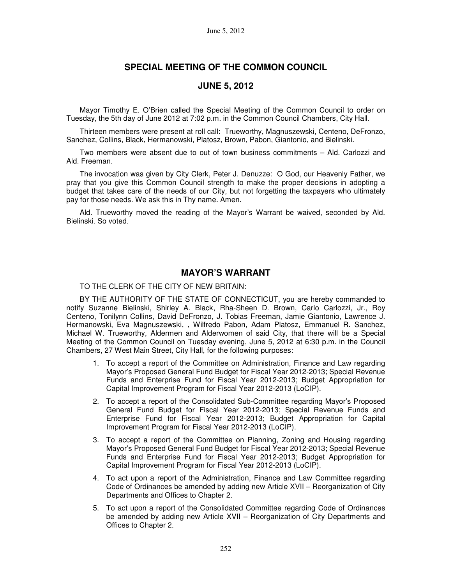# **SPECIAL MEETING OF THE COMMON COUNCIL**

## **JUNE 5, 2012**

Mayor Timothy E. O'Brien called the Special Meeting of the Common Council to order on Tuesday, the 5th day of June 2012 at 7:02 p.m. in the Common Council Chambers, City Hall.

Thirteen members were present at roll call: Trueworthy, Magnuszewski, Centeno, DeFronzo, Sanchez, Collins, Black, Hermanowski, Platosz, Brown, Pabon, Giantonio, and Bielinski.

Two members were absent due to out of town business commitments – Ald. Carlozzi and Ald. Freeman.

The invocation was given by City Clerk, Peter J. Denuzze: O God, our Heavenly Father, we pray that you give this Common Council strength to make the proper decisions in adopting a budget that takes care of the needs of our City, but not forgetting the taxpayers who ultimately pay for those needs. We ask this in Thy name. Amen.

Ald. Trueworthy moved the reading of the Mayor's Warrant be waived, seconded by Ald. Bielinski. So voted.

## **MAYOR'S WARRANT**

TO THE CLERK OF THE CITY OF NEW BRITAIN:

BY THE AUTHORITY OF THE STATE OF CONNECTICUT, you are hereby commanded to notify Suzanne Bielinski, Shirley A. Black, Rha-Sheen D. Brown, Carlo Carlozzi, Jr., Roy Centeno, Tonilynn Collins, David DeFronzo, J. Tobias Freeman, Jamie Giantonio, Lawrence J. Hermanowski, Eva Magnuszewski, , Wilfredo Pabon, Adam Platosz, Emmanuel R. Sanchez, Michael W. Trueworthy, Aldermen and Alderwomen of said City, that there will be a Special Meeting of the Common Council on Tuesday evening, June 5, 2012 at 6:30 p.m. in the Council Chambers, 27 West Main Street, City Hall, for the following purposes:

- 1. To accept a report of the Committee on Administration, Finance and Law regarding Mayor's Proposed General Fund Budget for Fiscal Year 2012-2013; Special Revenue Funds and Enterprise Fund for Fiscal Year 2012-2013; Budget Appropriation for Capital Improvement Program for Fiscal Year 2012-2013 (LoCIP).
- 2. To accept a report of the Consolidated Sub-Committee regarding Mayor's Proposed General Fund Budget for Fiscal Year 2012-2013; Special Revenue Funds and Enterprise Fund for Fiscal Year 2012-2013; Budget Appropriation for Capital Improvement Program for Fiscal Year 2012-2013 (LoCIP).
- 3. To accept a report of the Committee on Planning, Zoning and Housing regarding Mayor's Proposed General Fund Budget for Fiscal Year 2012-2013; Special Revenue Funds and Enterprise Fund for Fiscal Year 2012-2013; Budget Appropriation for Capital Improvement Program for Fiscal Year 2012-2013 (LoCIP).
- 4. To act upon a report of the Administration, Finance and Law Committee regarding Code of Ordinances be amended by adding new Article XVII – Reorganization of City Departments and Offices to Chapter 2.
- 5. To act upon a report of the Consolidated Committee regarding Code of Ordinances be amended by adding new Article XVII – Reorganization of City Departments and Offices to Chapter 2.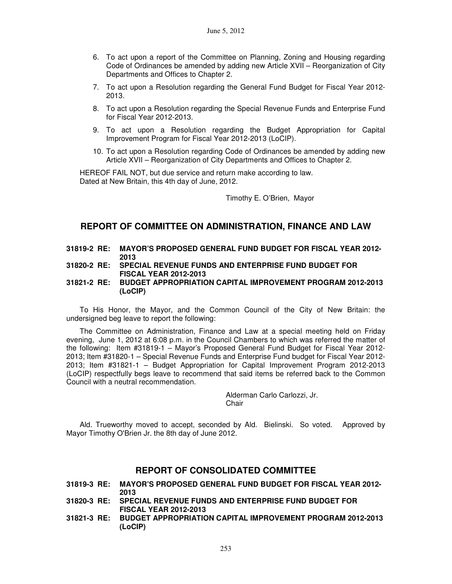- 6. To act upon a report of the Committee on Planning, Zoning and Housing regarding Code of Ordinances be amended by adding new Article XVII – Reorganization of City Departments and Offices to Chapter 2.
- 7. To act upon a Resolution regarding the General Fund Budget for Fiscal Year 2012- 2013.
- 8. To act upon a Resolution regarding the Special Revenue Funds and Enterprise Fund for Fiscal Year 2012-2013.
- 9. To act upon a Resolution regarding the Budget Appropriation for Capital Improvement Program for Fiscal Year 2012-2013 (LoCIP).
- 10. To act upon a Resolution regarding Code of Ordinances be amended by adding new Article XVII – Reorganization of City Departments and Offices to Chapter 2.

HEREOF FAIL NOT, but due service and return make according to law. Dated at New Britain, this 4th day of June, 2012.

Timothy E. O'Brien, Mayor

## **REPORT OF COMMITTEE ON ADMINISTRATION, FINANCE AND LAW**

- **31819-2 RE: MAYOR'S PROPOSED GENERAL FUND BUDGET FOR FISCAL YEAR 2012- 2013**
- **31820-2 RE: SPECIAL REVENUE FUNDS AND ENTERPRISE FUND BUDGET FOR FISCAL YEAR 2012-2013**
- **31821-2 RE: BUDGET APPROPRIATION CAPITAL IMPROVEMENT PROGRAM 2012-2013 (LoCIP)**

To His Honor, the Mayor, and the Common Council of the City of New Britain: the undersigned beg leave to report the following:

The Committee on Administration, Finance and Law at a special meeting held on Friday evening, June 1, 2012 at 6:08 p.m. in the Council Chambers to which was referred the matter of the following: Item #31819-1 – Mayor's Proposed General Fund Budget for Fiscal Year 2012- 2013; Item #31820-1 – Special Revenue Funds and Enterprise Fund budget for Fiscal Year 2012- 2013; Item #31821-1 – Budget Appropriation for Capital Improvement Program 2012-2013 (LoCIP) respectfully begs leave to recommend that said items be referred back to the Common Council with a neutral recommendation.

> Alderman Carlo Carlozzi, Jr. Chair

Ald. Trueworthy moved to accept, seconded by Ald. Bielinski. So voted. Approved by Mayor Timothy O'Brien Jr. the 8th day of June 2012.

## **REPORT OF CONSOLIDATED COMMITTEE**

**31819-3 RE: MAYOR'S PROPOSED GENERAL FUND BUDGET FOR FISCAL YEAR 2012- 2013** 

- **31820-3 RE: SPECIAL REVENUE FUNDS AND ENTERPRISE FUND BUDGET FOR FISCAL YEAR 2012-2013**
- **31821-3 RE: BUDGET APPROPRIATION CAPITAL IMPROVEMENT PROGRAM 2012-2013 (LoCIP)**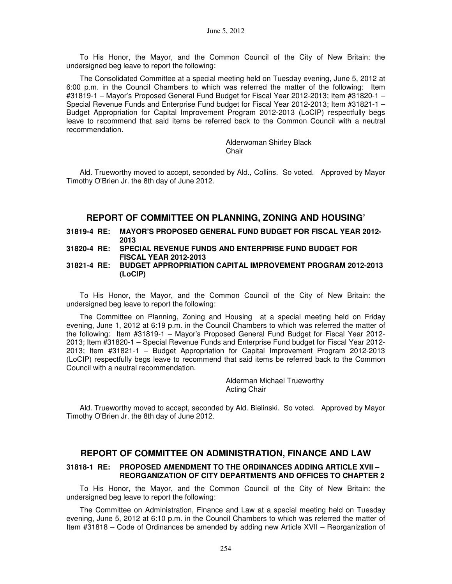To His Honor, the Mayor, and the Common Council of the City of New Britain: the undersigned beg leave to report the following:

The Consolidated Committee at a special meeting held on Tuesday evening, June 5, 2012 at 6:00 p.m. in the Council Chambers to which was referred the matter of the following: Item #31819-1 – Mayor's Proposed General Fund Budget for Fiscal Year 2012-2013; Item #31820-1 – Special Revenue Funds and Enterprise Fund budget for Fiscal Year 2012-2013; Item #31821-1 – Budget Appropriation for Capital Improvement Program 2012-2013 (LoCIP) respectfully begs leave to recommend that said items be referred back to the Common Council with a neutral recommendation.

> Alderwoman Shirley Black Chair

Ald. Trueworthy moved to accept, seconded by Ald., Collins. So voted. Approved by Mayor Timothy O'Brien Jr. the 8th day of June 2012.

# **REPORT OF COMMITTEE ON PLANNING, ZONING AND HOUSING'**

**31819-4 RE: MAYOR'S PROPOSED GENERAL FUND BUDGET FOR FISCAL YEAR 2012- 2013** 

**31820-4 RE: SPECIAL REVENUE FUNDS AND ENTERPRISE FUND BUDGET FOR FISCAL YEAR 2012-2013** 

**31821-4 RE: BUDGET APPROPRIATION CAPITAL IMPROVEMENT PROGRAM 2012-2013 (LoCIP)** 

To His Honor, the Mayor, and the Common Council of the City of New Britain: the undersigned beg leave to report the following:

The Committee on Planning, Zoning and Housing at a special meeting held on Friday evening, June 1, 2012 at 6:19 p.m. in the Council Chambers to which was referred the matter of the following: Item #31819-1 – Mayor's Proposed General Fund Budget for Fiscal Year 2012- 2013; Item #31820-1 – Special Revenue Funds and Enterprise Fund budget for Fiscal Year 2012- 2013; Item #31821-1 – Budget Appropriation for Capital Improvement Program 2012-2013 (LoCIP) respectfully begs leave to recommend that said items be referred back to the Common Council with a neutral recommendation.

> Alderman Michael Trueworthy Acting Chair

Ald. Trueworthy moved to accept, seconded by Ald. Bielinski. So voted. Approved by Mayor Timothy O'Brien Jr. the 8th day of June 2012.

# **REPORT OF COMMITTEE ON ADMINISTRATION, FINANCE AND LAW 31818-1 RE: PROPOSED AMENDMENT TO THE ORDINANCES ADDING ARTICLE XVII – REORGANIZATION OF CITY DEPARTMENTS AND OFFICES TO CHAPTER 2**

To His Honor, the Mayor, and the Common Council of the City of New Britain: the undersigned beg leave to report the following:

The Committee on Administration, Finance and Law at a special meeting held on Tuesday evening, June 5, 2012 at 6:10 p.m. in the Council Chambers to which was referred the matter of Item #31818 – Code of Ordinances be amended by adding new Article XVII – Reorganization of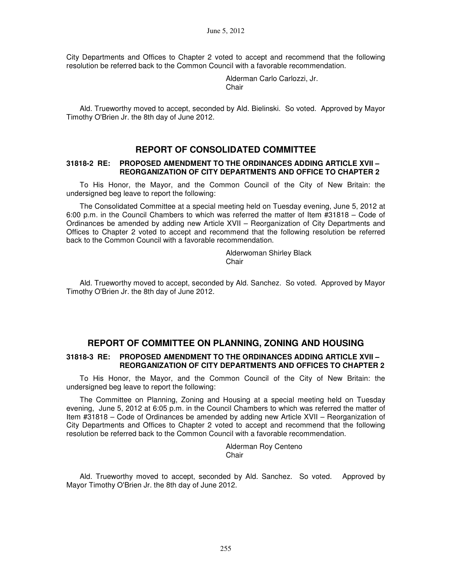June 5, 2012

City Departments and Offices to Chapter 2 voted to accept and recommend that the following resolution be referred back to the Common Council with a favorable recommendation.

> Alderman Carlo Carlozzi, Jr. **Chair**

Ald. Trueworthy moved to accept, seconded by Ald. Bielinski. So voted. Approved by Mayor Timothy O'Brien Jr. the 8th day of June 2012.

## **REPORT OF CONSOLIDATED COMMITTEE**

### **31818-2 RE: PROPOSED AMENDMENT TO THE ORDINANCES ADDING ARTICLE XVII – REORGANIZATION OF CITY DEPARTMENTS AND OFFICE TO CHAPTER 2**

To His Honor, the Mayor, and the Common Council of the City of New Britain: the undersigned beg leave to report the following:

The Consolidated Committee at a special meeting held on Tuesday evening, June 5, 2012 at 6:00 p.m. in the Council Chambers to which was referred the matter of Item #31818 – Code of Ordinances be amended by adding new Article XVII – Reorganization of City Departments and Offices to Chapter 2 voted to accept and recommend that the following resolution be referred back to the Common Council with a favorable recommendation.

> Alderwoman Shirley Black Chair

Ald. Trueworthy moved to accept, seconded by Ald. Sanchez. So voted. Approved by Mayor Timothy O'Brien Jr. the 8th day of June 2012.

## **REPORT OF COMMITTEE ON PLANNING, ZONING AND HOUSING**

### **31818-3 RE: PROPOSED AMENDMENT TO THE ORDINANCES ADDING ARTICLE XVII – REORGANIZATION OF CITY DEPARTMENTS AND OFFICES TO CHAPTER 2**

To His Honor, the Mayor, and the Common Council of the City of New Britain: the undersigned beg leave to report the following:

The Committee on Planning, Zoning and Housing at a special meeting held on Tuesday evening, June 5, 2012 at 6:05 p.m. in the Council Chambers to which was referred the matter of Item #31818 – Code of Ordinances be amended by adding new Article XVII – Reorganization of City Departments and Offices to Chapter 2 voted to accept and recommend that the following resolution be referred back to the Common Council with a favorable recommendation.

> Alderman Roy Centeno Chair

Ald. Trueworthy moved to accept, seconded by Ald. Sanchez. So voted. Approved by Mayor Timothy O'Brien Jr. the 8th day of June 2012.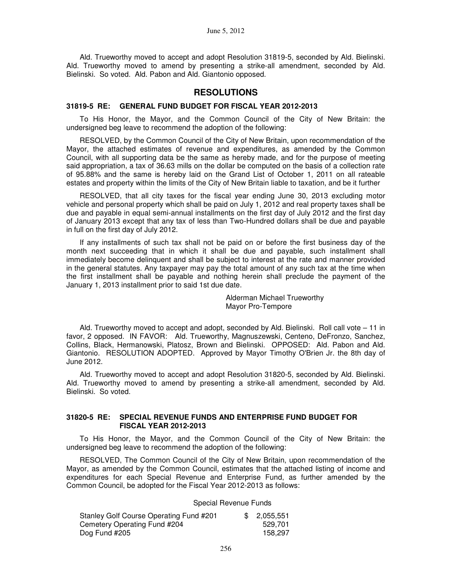Ald. Trueworthy moved to accept and adopt Resolution 31819-5, seconded by Ald. Bielinski. Ald. Trueworthy moved to amend by presenting a strike-all amendment, seconded by Ald. Bielinski. So voted. Ald. Pabon and Ald. Giantonio opposed.

## **RESOLUTIONS**

### **31819-5 RE: GENERAL FUND BUDGET FOR FISCAL YEAR 2012-2013**

To His Honor, the Mayor, and the Common Council of the City of New Britain: the undersigned beg leave to recommend the adoption of the following:

RESOLVED, by the Common Council of the City of New Britain, upon recommendation of the Mayor, the attached estimates of revenue and expenditures, as amended by the Common Council, with all supporting data be the same as hereby made, and for the purpose of meeting said appropriation, a tax of 36.63 mills on the dollar be computed on the basis of a collection rate of 95.88% and the same is hereby laid on the Grand List of October 1, 2011 on all rateable estates and property within the limits of the City of New Britain liable to taxation, and be it further

RESOLVED, that all city taxes for the fiscal year ending June 30, 2013 excluding motor vehicle and personal property which shall be paid on July 1, 2012 and real property taxes shall be due and payable in equal semi-annual installments on the first day of July 2012 and the first day of January 2013 except that any tax of less than Two-Hundred dollars shall be due and payable in full on the first day of July 2012.

If any installments of such tax shall not be paid on or before the first business day of the month next succeeding that in which it shall be due and payable, such installment shall immediately become delinquent and shall be subject to interest at the rate and manner provided in the general statutes. Any taxpayer may pay the total amount of any such tax at the time when the first installment shall be payable and nothing herein shall preclude the payment of the January 1, 2013 installment prior to said 1st due date.

> Alderman Michael Trueworthy Mayor Pro-Tempore

Ald. Trueworthy moved to accept and adopt, seconded by Ald. Bielinski. Roll call vote - 11 in favor, 2 opposed. IN FAVOR: Ald. Trueworthy, Magnuszewski, Centeno, DeFronzo, Sanchez, Collins, Black, Hermanowski, Platosz, Brown and Bielinski. OPPOSED: Ald. Pabon and Ald. Giantonio. RESOLUTION ADOPTED. Approved by Mayor Timothy O'Brien Jr. the 8th day of June 2012.

Ald. Trueworthy moved to accept and adopt Resolution 31820-5, seconded by Ald. Bielinski. Ald. Trueworthy moved to amend by presenting a strike-all amendment, seconded by Ald. Bielinski. So voted.

#### **31820-5 RE: SPECIAL REVENUE FUNDS AND ENTERPRISE FUND BUDGET FOR FISCAL YEAR 2012-2013**

To His Honor, the Mayor, and the Common Council of the City of New Britain: the undersigned beg leave to recommend the adoption of the following:

RESOLVED, The Common Council of the City of New Britain, upon recommendation of the Mayor, as amended by the Common Council, estimates that the attached listing of income and expenditures for each Special Revenue and Enterprise Fund, as further amended by the Common Council, be adopted for the Fiscal Year 2012-2013 as follows:

Special Revenue Funds

| Stanley Golf Course Operating Fund #201 | \$2,055,551 |
|-----------------------------------------|-------------|
| Cemetery Operating Fund #204            | 529.701     |
| Dog Fund #205                           | 158.297     |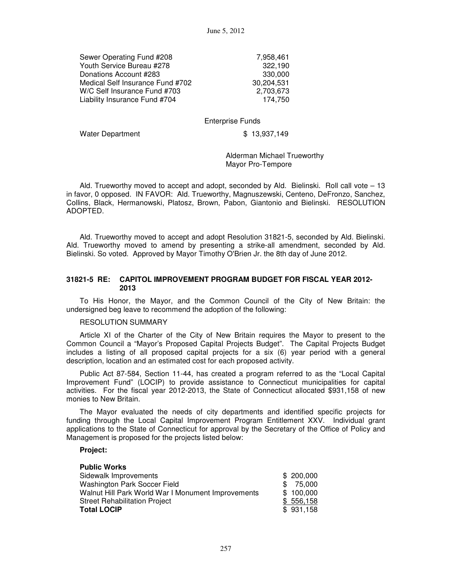| Sewer Operating Fund #208        | 7.958.461  |
|----------------------------------|------------|
| Youth Service Bureau #278        | 322,190    |
| Donations Account #283           | 330,000    |
| Medical Self Insurance Fund #702 | 30,204,531 |
| W/C Self Insurance Fund #703     | 2.703.673  |
| Liability Insurance Fund #704    | 174.750    |
|                                  |            |

### Enterprise Funds

Water Department \$ 13,937,149

Alderman Michael Trueworthy Mayor Pro-Tempore

Ald. Trueworthy moved to accept and adopt, seconded by Ald. Bielinski. Roll call vote – 13 in favor, 0 opposed. IN FAVOR: Ald. Trueworthy, Magnuszewski, Centeno, DeFronzo, Sanchez, Collins, Black, Hermanowski, Platosz, Brown, Pabon, Giantonio and Bielinski. RESOLUTION ADOPTED.

Ald. Trueworthy moved to accept and adopt Resolution 31821-5, seconded by Ald. Bielinski. Ald. Trueworthy moved to amend by presenting a strike-all amendment, seconded by Ald. Bielinski. So voted. Approved by Mayor Timothy O'Brien Jr. the 8th day of June 2012.

### **31821-5 RE: CAPITOL IMPROVEMENT PROGRAM BUDGET FOR FISCAL YEAR 2012- 2013**

To His Honor, the Mayor, and the Common Council of the City of New Britain: the undersigned beg leave to recommend the adoption of the following:

#### RESOLUTION SUMMARY

Article XI of the Charter of the City of New Britain requires the Mayor to present to the Common Council a "Mayor's Proposed Capital Projects Budget". The Capital Projects Budget includes a listing of all proposed capital projects for a six (6) year period with a general description, location and an estimated cost for each proposed activity.

Public Act 87-584, Section 11-44, has created a program referred to as the "Local Capital Improvement Fund" (LOCIP) to provide assistance to Connecticut municipalities for capital activities. For the fiscal year 2012-2013, the State of Connecticut allocated \$931,158 of new monies to New Britain.

The Mayor evaluated the needs of city departments and identified specific projects for funding through the Local Capital Improvement Program Entitlement XXV. Individual grant applications to the State of Connecticut for approval by the Secretary of the Office of Policy and Management is proposed for the projects listed below:

#### **Project:**

| <b>Public Works</b>                                |           |
|----------------------------------------------------|-----------|
| Sidewalk Improvements                              | \$200,000 |
| Washington Park Soccer Field                       | \$75,000  |
| Walnut Hill Park World War I Monument Improvements | \$100,000 |
| <b>Street Rehabilitation Project</b>               | \$556,158 |
| <b>Total LOCIP</b>                                 | \$931,158 |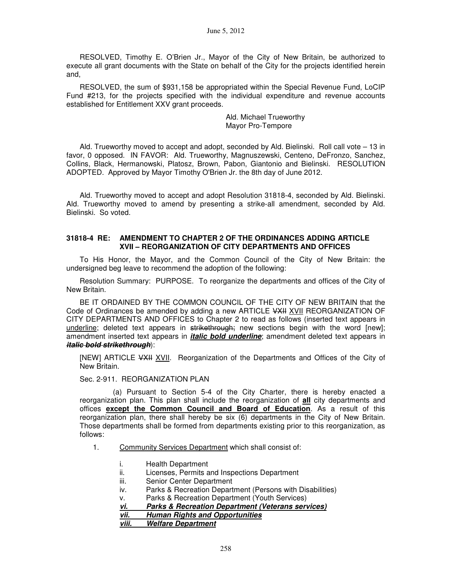RESOLVED, Timothy E. O'Brien Jr., Mayor of the City of New Britain, be authorized to execute all grant documents with the State on behalf of the City for the projects identified herein and,

RESOLVED, the sum of \$931,158 be appropriated within the Special Revenue Fund, LoCIP Fund #213, for the projects specified with the individual expenditure and revenue accounts established for Entitlement XXV grant proceeds.

### Ald. Michael Trueworthy Mayor Pro-Tempore

Ald. Trueworthy moved to accept and adopt, seconded by Ald. Bielinski. Roll call vote – 13 in favor, 0 opposed. IN FAVOR: Ald. Trueworthy, Magnuszewski, Centeno, DeFronzo, Sanchez, Collins, Black, Hermanowski, Platosz, Brown, Pabon, Giantonio and Bielinski. RESOLUTION ADOPTED. Approved by Mayor Timothy O'Brien Jr. the 8th day of June 2012.

Ald. Trueworthy moved to accept and adopt Resolution 31818-4, seconded by Ald. Bielinski. Ald. Trueworthy moved to amend by presenting a strike-all amendment, seconded by Ald. Bielinski. So voted.

### **31818-4 RE: AMENDMENT TO CHAPTER 2 OF THE ORDINANCES ADDING ARTICLE XVII – REORGANIZATION OF CITY DEPARTMENTS AND OFFICES**

To His Honor, the Mayor, and the Common Council of the City of New Britain: the undersigned beg leave to recommend the adoption of the following:

Resolution Summary: PURPOSE. To reorganize the departments and offices of the City of New Britain.

BE IT ORDAINED BY THE COMMON COUNCIL OF THE CITY OF NEW BRITAIN that the Code of Ordinances be amended by adding a new ARTICLE VXII XVII REORGANIZATION OF CITY DEPARTMENTS AND OFFICES to Chapter 2 to read as follows (inserted text appears in underline; deleted text appears in strikethrough; new sections begin with the word [new]; amendment inserted text appears in **italic bold underline**; amendment deleted text appears in **italic bold strikethrough**):

[NEW] ARTICLE VXII XVII. Reorganization of the Departments and Offices of the City of New Britain.

Sec. 2-911. REORGANIZATION PLAN

(a) Pursuant to Section 5-4 of the City Charter, there is hereby enacted a reorganization plan. This plan shall include the reorganization of **all** city departments and offices **except the Common Council and Board of Education**. As a result of this reorganization plan, there shall hereby be six (6) departments in the City of New Britain. Those departments shall be formed from departments existing prior to this reorganization, as follows:

- 1. Community Services Department which shall consist of:
	- i. Health Department
	- ii. Licenses, Permits and Inspections Department
	- iii. Senior Center Department
	- iv. Parks & Recreation Department (Persons with Disabilities)
	- v. Parks & Recreation Department (Youth Services)
	- **vi. Parks & Recreation Department (Veterans services)**
	- **vii. Human Rights and Opportunities**

 **viii. Welfare Department**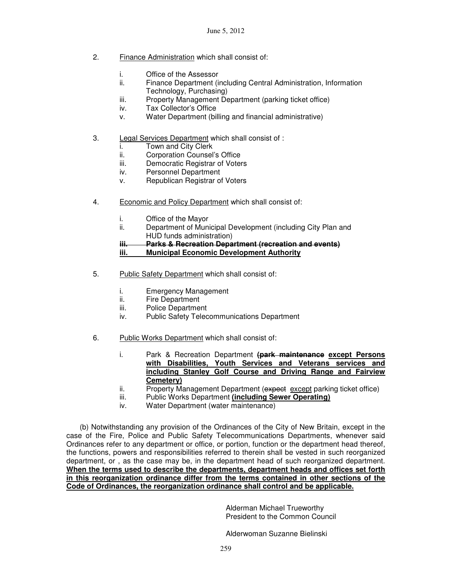- 2. Finance Administration which shall consist of:
	- i. Office of the Assessor
	- ii. Finance Department (including Central Administration, Information Technology, Purchasing)
	- iii. Property Management Department (parking ticket office)
	- iv. Tax Collector's Office
	- v. Water Department (billing and financial administrative)
- 3. Legal Services Department which shall consist of :
	- i. Town and City Clerk
	- ii. Corporation Counsel's Office
	- iii. Democratic Registrar of Voters
	- iv. Personnel Department
	- v. Republican Registrar of Voters
- 4. Economic and Policy Department which shall consist of:
	- i. Office of the Mayor
	- ii. Department of Municipal Development (including City Plan and HUD funds administration)
	- **iii. Parks & Recreation Department (recreation and events)**
	- **Municipal Economic Development Authority**
- 5. Public Safety Department which shall consist of:
	- i. Emergency Management
	- ii. Fire Department
	- iii. Police Department
	- iv. Public Safety Telecommunications Department
- 6. Public Works Department which shall consist of:
	- i. Park & Recreation Department **(park maintenance except Persons with Disabilities, Youth Services and Veterans services and including Stanley Golf Course and Driving Range and Fairview Cemetery)**
	- ii. Property Management Department (expect except parking ticket office)
	- iii. Public Works Department **(including Sewer Operating)**
	- iv. Water Department (water maintenance)

(b) Notwithstanding any provision of the Ordinances of the City of New Britain, except in the case of the Fire, Police and Public Safety Telecommunications Departments, whenever said Ordinances refer to any department or office, or portion, function or the department head thereof, the functions, powers and responsibilities referred to therein shall be vested in such reorganized department, or , as the case may be, in the department head of such reorganized department. **When the terms used to describe the departments, department heads and offices set forth in this reorganization ordinance differ from the terms contained in other sections of the Code of Ordinances, the reorganization ordinance shall control and be applicable.**

> Alderman Michael Trueworthy President to the Common Council

Alderwoman Suzanne Bielinski